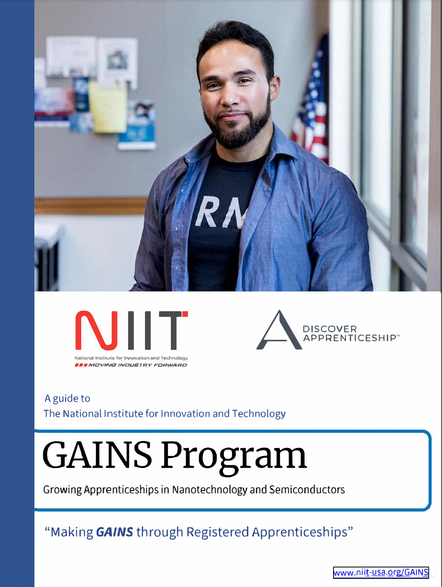





#### A guide to The National Institute for Innovation and Technology

# **GAINS Program**

Growing Apprenticeships in Nanotechnology and Semiconductors

## "Making GAINS through Registered Apprenticeships"

www.niit-usa.org/GAINS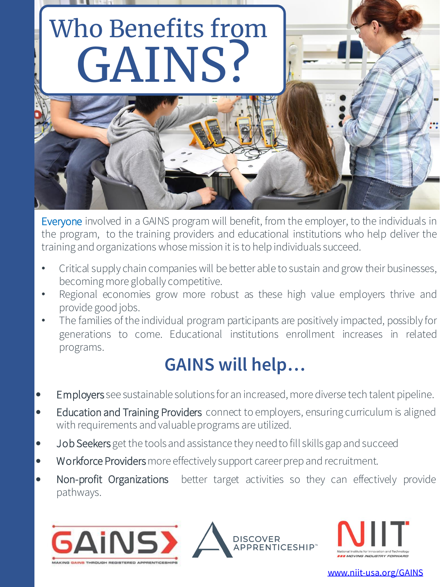

Everyone involved in a GAINS program will benefit, from the employer, to the individuals in the program, to the training providers and educational institutions who help deliver the training and organizations whose mission it is to help individuals succeed.

- Critical supply chain companies will be better able to sustain and grow their businesses, becoming more globally competitive.
- Regional economies grow more robust as these high value employers thrive and provide good jobs.
- The families of the individual program participants are positively impacted, possibly for generations to come. Educational institutions enrollment increases in related programs.

## **GAINS will help…**

- Employers see sustainable solutions for an increased, more diverse tech talent pipeline.
- Education and Training Providers connect to employers, ensuring curriculum is aligned with requirements and valuableprograms are utilized.
- Job Seekers get the tools and assistance they need to fill skills gap and succeed
- Workforce Providers more effectively support career prep and recruitment.
- Non-profit Organizations better target activities so they can effectively provide pathways.





www.niit-usa.org/GAINS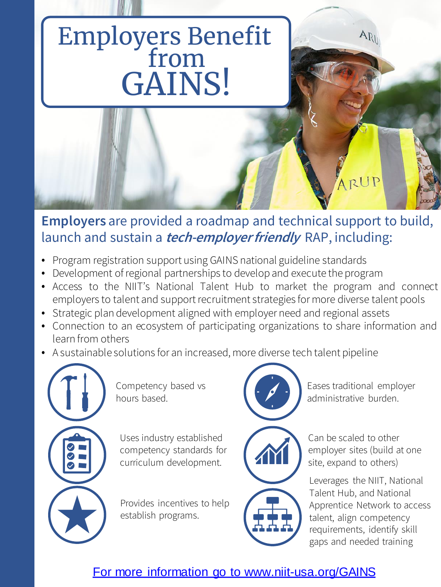# Employers Benefit from GAINS!



### **Employers** are provided a roadmap and technical support to build, launch and sustain a **tech-employer friendly** RAP, including:

- Program registration support using GAINS national guideline standards
- Development of regional partnerships to develop and execute the program
- Access to the NIIT's National Talent Hub to market the program and connect employers to talent and support recruitment strategies for more diverse talent pools
- Strategic plan development aligned with employer need and regional assets
- Connection to an ecosystem of participating organizations to share information and learn from others
- A sustainable solutions for an increased, more diverse tech talent pipeline



Competency based vs hours based.

Uses industry established competency standards for curriculum development.

Provides incentives to help establish programs.



Eases traditional employer administrative burden.

AN



Can be scaled to other employer sites (build at one site, expand to others)

Leverages the NIIT, National Talent Hub, and National Apprentice Network to access talent, align competency requirements, identify skill gaps and needed training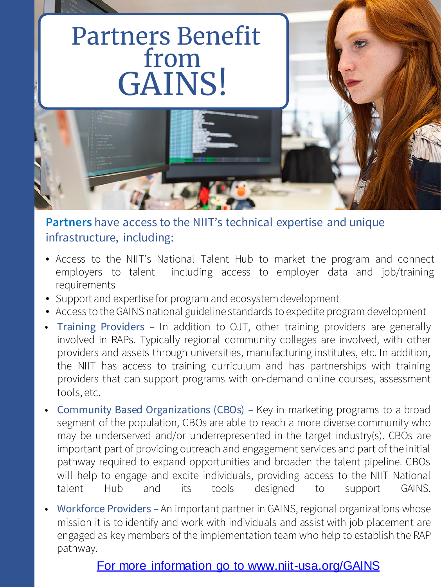## Partners Benefit from GAINS!



**Partners** have access to the NIIT's technical expertise and unique infrastructure, including:

- Access to the NIIT's National Talent Hub to market the program and connect employers to talent including access to employer data and job/training requirements
- Support and expertise for program and ecosystem development
- Access to theGAINS national guideline standards to expedite program development
- Training Providers In addition to OJT, other training providers are generally involved in RAPs. Typically regional community colleges are involved, with other providers and assets through universities, manufacturing institutes, etc. In addition, the NIIT has access to training curriculum and has partnerships with training providers that can support programs with on-demand online courses, assessment tools, etc.
- Community Based Organizations (CBOs) Key in marketing programs to a broad segment of the population, CBOs are able to reach a more diverse community who may be underserved and/or underrepresented in the target industry(s). CBOs are important part of providing outreach and engagement services and part of the initial pathway required to expand opportunities and broaden the talent pipeline. CBOs will help to engage and excite individuals, providing access to the NIIT National talent Hub and its tools designed to support GAINS.
- Workforce Providers An important partner in GAINS, regional organizations whose mission it is to identify and work with individuals and assist with job placement are engaged as key members of the implementation team who help to establish the RAP pathway.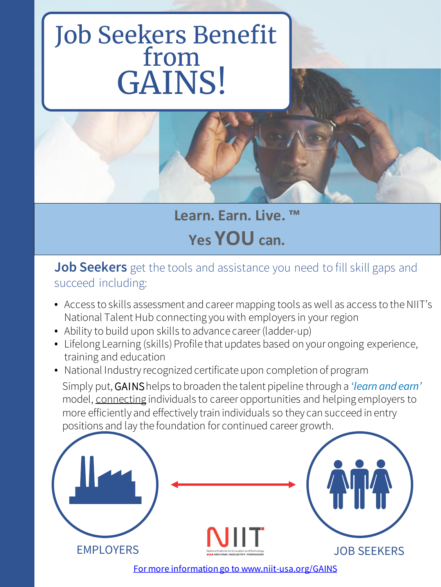# Job Seekers Benefit from GAINS!



**Learn. Earn. Live. ™ Yes YOU can.**

#### **Job Seekers** get the tools and assistance you need to fill skill gaps and succeed including:

- Access to skills assessment and career mapping tools as well as access to the NIIT's National Talent Hub connecting you with employers in your region
- Ability to build upon skills to advance career (ladder-up)
- Lifelong Learning (skills) Profile that updates based on your ongoing experience, training and education
- National Industry recognized certificate upon completion of program

Simply put, GAINShelps to broaden the talent pipeline through a *'learn and earn'* model, connecting individuals to career opportunities and helping employers to more efficiently and effectively train individuals so they can succeed in entry positions and lay the foundation for continued career growth.